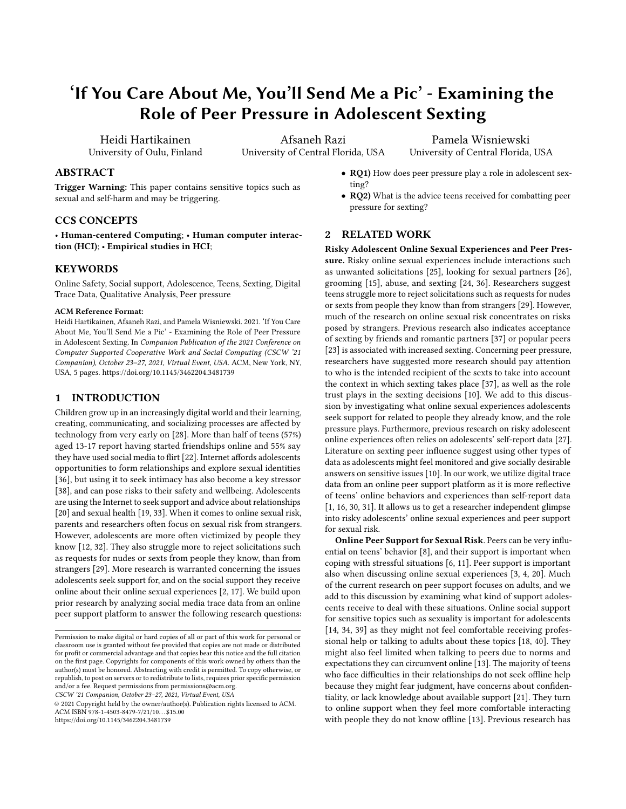# 'If You Care About Me, You'll Send Me a Pic' - Examining the Role of Peer Pressure in Adolescent Sexting

Heidi Hartikainen University of Oulu, Finland

Afsaneh Razi University of Central Florida, USA

Pamela Wisniewski University of Central Florida, USA

# ABSTRACT

Trigger Warning: This paper contains sensitive topics such as sexual and self-harm and may be triggering.

#### CCS CONCEPTS

• Human-centered Computing; • Human computer interaction (HCI); • Empirical studies in HCI;

# **KEYWORDS**

Online Safety, Social support, Adolescence, Teens, Sexting, Digital Trace Data, Qualitative Analysis, Peer pressure

#### ACM Reference Format:

Heidi Hartikainen, Afsaneh Razi, and Pamela Wisniewski. 2021. 'If You Care About Me, You'll Send Me a Pic' - Examining the Role of Peer Pressure in Adolescent Sexting. In Companion Publication of the 2021 Conference on Computer Supported Cooperative Work and Social Computing (CSCW '21 Companion), October 23–27, 2021, Virtual Event, USA. ACM, New York, NY, USA, [5](#page-4-0) pages.<https://doi.org/10.1145/3462204.3481739>

## 1 INTRODUCTION

Children grow up in an increasingly digital world and their learning, creating, communicating, and socializing processes are affected by technology from very early on [\[28\]](#page-4-1). More than half of teens (57%) aged 13-17 report having started friendships online and 55% say they have used social media to flirt [\[22\]](#page-4-2). Internet affords adolescents opportunities to form relationships and explore sexual identities [\[36\]](#page-4-3), but using it to seek intimacy has also become a key stressor [\[38\]](#page-4-4), and can pose risks to their safety and wellbeing. Adolescents are using the Internet to seek support and advice about relationships [\[20\]](#page-4-5) and sexual health [\[19,](#page-4-6) [33\]](#page-4-7). When it comes to online sexual risk, parents and researchers often focus on sexual risk from strangers. However, adolescents are more often victimized by people they know [\[12,](#page-4-8) [32\]](#page-4-9). They also struggle more to reject solicitations such as requests for nudes or sexts from people they know, than from strangers [\[29\]](#page-4-10). More research is warranted concerning the issues adolescents seek support for, and on the social support they receive online about their online sexual experiences [\[2,](#page-3-0) [17\]](#page-4-11). We build upon prior research by analyzing social media trace data from an online peer support platform to answer the following research questions:

CSCW '21 Companion, October 23–27, 2021, Virtual Event, USA

<https://doi.org/10.1145/3462204.3481739>

- RQ1) How does peer pressure play a role in adolescent sexting?
- RQ2) What is the advice teens received for combatting peer pressure for sexting?

# 2 RELATED WORK

Risky Adolescent Online Sexual Experiences and Peer Pressure. Risky online sexual experiences include interactions such as unwanted solicitations [\[25\]](#page-4-12), looking for sexual partners [\[26\]](#page-4-13), grooming [\[15\]](#page-4-14), abuse, and sexting [\[24,](#page-4-15) [36\]](#page-4-3). Researchers suggest teens struggle more to reject solicitations such as requests for nudes or sexts from people they know than from strangers [\[29\]](#page-4-10). However, much of the research on online sexual risk concentrates on risks posed by strangers. Previous research also indicates acceptance of sexting by friends and romantic partners [\[37\]](#page-4-16) or popular peers [\[23\]](#page-4-17) is associated with increased sexting. Concerning peer pressure, researchers have suggested more research should pay attention to who is the intended recipient of the sexts to take into account the context in which sexting takes place [\[37\]](#page-4-16), as well as the role trust plays in the sexting decisions [\[10\]](#page-4-18). We add to this discussion by investigating what online sexual experiences adolescents seek support for related to people they already know, and the role pressure plays. Furthermore, previous research on risky adolescent online experiences often relies on adolescents' self-report data [\[27\]](#page-4-19). Literature on sexting peer influence suggest using other types of data as adolescents might feel monitored and give socially desirable answers on sensitive issues [\[10\]](#page-4-18). In our work, we utilize digital trace data from an online peer support platform as it is more reflective of teens' online behaviors and experiences than self-report data [\[1,](#page-3-1) [16,](#page-4-20) [30,](#page-4-21) [31\]](#page-4-22). It allows us to get a researcher independent glimpse into risky adolescents' online sexual experiences and peer support for sexual risk.

Online Peer Support for Sexual Risk. Peers can be very influential on teens' behavior [\[8\]](#page-4-23), and their support is important when coping with stressful situations [\[6,](#page-4-24) [11\]](#page-4-25). Peer support is important also when discussing online sexual experiences [\[3,](#page-3-2) [4,](#page-3-3) [20\]](#page-4-5). Much of the current research on peer support focuses on adults, and we add to this discussion by examining what kind of support adolescents receive to deal with these situations. Online social support for sensitive topics such as sexuality is important for adolescents [\[14,](#page-4-26) [34,](#page-4-27) [39\]](#page-4-28) as they might not feel comfortable receiving professional help or talking to adults about these topics [\[18,](#page-4-29) [40\]](#page-4-30). They might also feel limited when talking to peers due to norms and expectations they can circumvent online [\[13\]](#page-4-31). The majority of teens who face difficulties in their relationships do not seek offline help because they might fear judgment, have concerns about confidentiality, or lack knowledge about available support [\[21\]](#page-4-32). They turn to online support when they feel more comfortable interacting with people they do not know offline [\[13\]](#page-4-31). Previous research has

Permission to make digital or hard copies of all or part of this work for personal or classroom use is granted without fee provided that copies are not made or distributed for profit or commercial advantage and that copies bear this notice and the full citation on the first page. Copyrights for components of this work owned by others than the author(s) must be honored. Abstracting with credit is permitted. To copy otherwise, or republish, to post on servers or to redistribute to lists, requires prior specific permission and/or a fee. Request permissions from permissions@acm.org.

<sup>©</sup> 2021 Copyright held by the owner/author(s). Publication rights licensed to ACM. ACM ISBN 978-1-4503-8479-7/21/10. . . \$15.00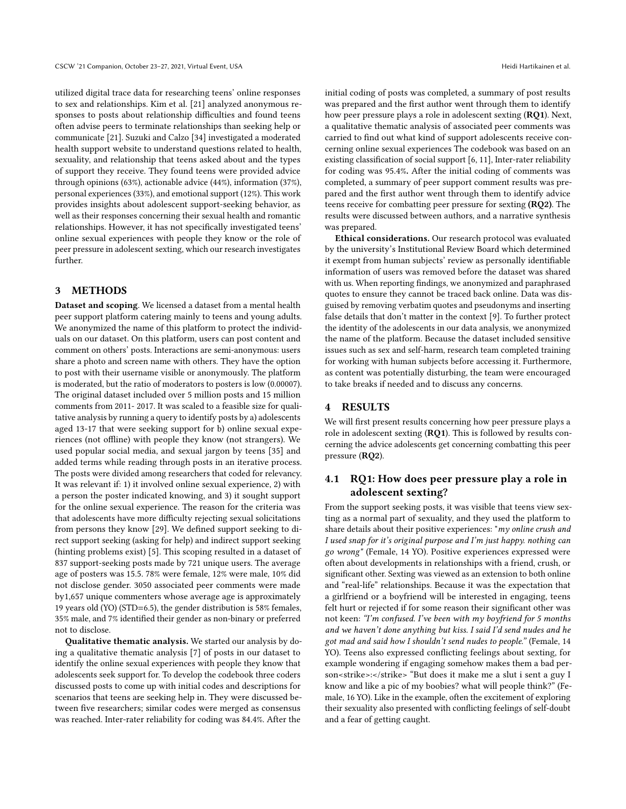utilized digital trace data for researching teens' online responses to sex and relationships. Kim et al. [\[21\]](#page-4-32) analyzed anonymous responses to posts about relationship difficulties and found teens often advise peers to terminate relationships than seeking help or communicate [\[21\]](#page-4-32). Suzuki and Calzo [\[34\]](#page-4-27) investigated a moderated health support website to understand questions related to health, sexuality, and relationship that teens asked about and the types of support they receive. They found teens were provided advice through opinions (63%), actionable advice (44%), information (37%), personal experiences (33%), and emotional support (12%). This work provides insights about adolescent support-seeking behavior, as well as their responses concerning their sexual health and romantic relationships. However, it has not specifically investigated teens' online sexual experiences with people they know or the role of peer pressure in adolescent sexting, which our research investigates further.

#### 3 METHODS

Dataset and scoping. We licensed a dataset from a mental health peer support platform catering mainly to teens and young adults. We anonymized the name of this platform to protect the individuals on our dataset. On this platform, users can post content and comment on others' posts. Interactions are semi-anonymous: users share a photo and screen name with others. They have the option to post with their username visible or anonymously. The platform is moderated, but the ratio of moderators to posters is low (0.00007). The original dataset included over 5 million posts and 15 million comments from 2011- 2017. It was scaled to a feasible size for qualitative analysis by running a query to identify posts by a) adolescents aged 13-17 that were seeking support for b) online sexual experiences (not offline) with people they know (not strangers). We used popular social media, and sexual jargon by teens [\[35\]](#page-4-33) and added terms while reading through posts in an iterative process. The posts were divided among researchers that coded for relevancy. It was relevant if: 1) it involved online sexual experience, 2) with a person the poster indicated knowing, and 3) it sought support for the online sexual experience. The reason for the criteria was that adolescents have more difficulty rejecting sexual solicitations from persons they know [\[29\]](#page-4-10). We defined support seeking to direct support seeking (asking for help) and indirect support seeking (hinting problems exist) [\[5\]](#page-3-4). This scoping resulted in a dataset of 837 support-seeking posts made by 721 unique users. The average age of posters was 15.5. 78% were female, 12% were male, 10% did not disclose gender. 3050 associated peer comments were made by1,657 unique commenters whose average age is approximately 19 years old (YO) (STD=6.5), the gender distribution is 58% females, 35% male, and 7% identified their gender as non-binary or preferred not to disclose.

Qualitative thematic analysis. We started our analysis by doing a qualitative thematic analysis [\[7\]](#page-4-34) of posts in our dataset to identify the online sexual experiences with people they know that adolescents seek support for. To develop the codebook three coders discussed posts to come up with initial codes and descriptions for scenarios that teens are seeking help in. They were discussed between five researchers; similar codes were merged as consensus was reached. Inter-rater reliability for coding was 84.4%. After the

initial coding of posts was completed, a summary of post results was prepared and the first author went through them to identify how peer pressure plays a role in adolescent sexting (RQ1). Next, a qualitative thematic analysis of associated peer comments was carried to find out what kind of support adolescents receive concerning online sexual experiences The codebook was based on an existing classification of social support [\[6,](#page-4-24) [11\]](#page-4-25), Inter-rater reliability for coding was 95.4%. After the initial coding of comments was completed, a summary of peer support comment results was prepared and the first author went through them to identify advice teens receive for combatting peer pressure for sexting (RQ2). The results were discussed between authors, and a narrative synthesis was prepared.

Ethical considerations. Our research protocol was evaluated by the university's Institutional Review Board which determined it exempt from human subjects' review as personally identifiable information of users was removed before the dataset was shared with us. When reporting findings, we anonymized and paraphrased quotes to ensure they cannot be traced back online. Data was disguised by removing verbatim quotes and pseudonyms and inserting false details that don't matter in the context [\[9\]](#page-4-35). To further protect the identity of the adolescents in our data analysis, we anonymized the name of the platform. Because the dataset included sensitive issues such as sex and self-harm, research team completed training for working with human subjects before accessing it. Furthermore, as content was potentially disturbing, the team were encouraged to take breaks if needed and to discuss any concerns.

## 4 RESULTS

We will first present results concerning how peer pressure plays a role in adolescent sexting (RQ1). This is followed by results concerning the advice adolescents get concerning combatting this peer pressure (RQ2).

# 4.1 RQ1: How does peer pressure play a role in adolescent sexting?

From the support seeking posts, it was visible that teens view sexting as a normal part of sexuality, and they used the platform to share details about their positive experiences: "my online crush and I used snap for it's original purpose and I'm just happy. nothing can go wrong" (Female, 14 YO). Positive experiences expressed were often about developments in relationships with a friend, crush, or significant other. Sexting was viewed as an extension to both online and "real-life" relationships. Because it was the expectation that a girlfriend or a boyfriend will be interested in engaging, teens felt hurt or rejected if for some reason their significant other was not keen: "I'm confused. I've been with my boyfriend for 5 months and we haven't done anything but kiss. I said I'd send nudes and he got mad and said how I shouldn't send nudes to people." (Female, 14 YO). Teens also expressed conflicting feelings about sexting, for example wondering if engaging somehow makes them a bad person<strike>:</strike> "But does it make me a slut i sent a guy I know and like a pic of my boobies? what will people think?" (Female, 16 YO). Like in the example, often the excitement of exploring their sexuality also presented with conflicting feelings of self-doubt and a fear of getting caught.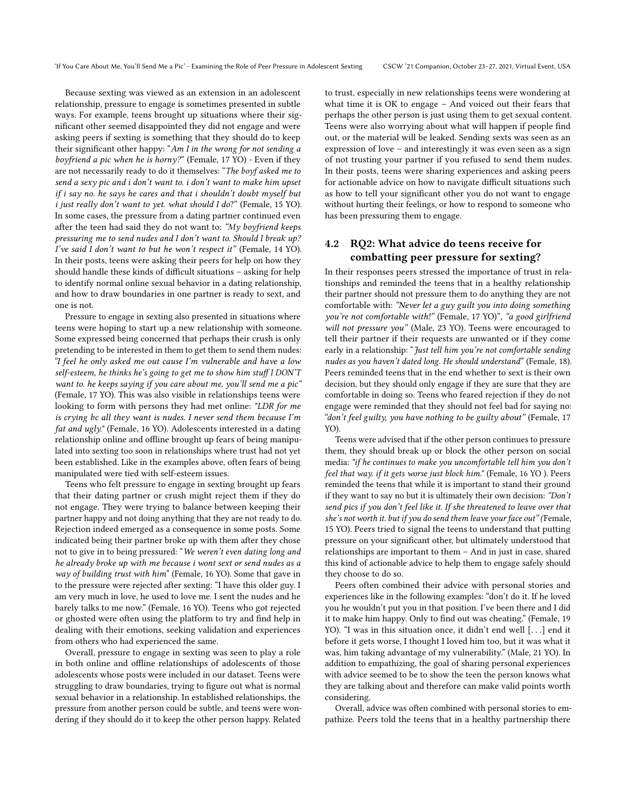Because sexting was viewed as an extension in an adolescent relationship, pressure to engage is sometimes presented in subtle ways. For example, teens brought up situations where their significant other seemed disappointed they did not engage and were asking peers if sexting is something that they should do to keep their significant other happy: "Am I in the wrong for not sending a boyfriend a pic when he is horny?" (Female, 17 YO) - Even if they are not necessarily ready to do it themselves: "The boyf asked me to send a sexy pic and i don't want to. i don't want to make him upset if i say no. he says he cares and that i shouldn't doubt myself but i just really don't want to yet. what should I do?" (Female, 15 YO). In some cases, the pressure from a dating partner continued even after the teen had said they do not want to: "My boyfriend keeps pressuring me to send nudes and I don't want to. Should I break up? I've said I don't want to but he won't respect it" (Female, 14 YO). In their posts, teens were asking their peers for help on how they should handle these kinds of difficult situations – asking for help to identify normal online sexual behavior in a dating relationship, and how to draw boundaries in one partner is ready to sext, and one is not.

Pressure to engage in sexting also presented in situations where teens were hoping to start up a new relationship with someone. Some expressed being concerned that perhaps their crush is only pretending to be interested in them to get them to send them nudes: "I feel he only asked me out cause I'm vulnerable and have a low self-esteem, he thinks he's going to get me to show him stuff I DON'T want to. he keeps saying if you care about me, you'll send me a pic" (Female, 17 YO). This was also visible in relationships teens were looking to form with persons they had met online: "LDR for me is crying bc all they want is nudes. I never send them because I'm fat and ugly." (Female, 16 YO). Adolescents interested in a dating relationship online and offline brought up fears of being manipulated into sexting too soon in relationships where trust had not yet been established. Like in the examples above, often fears of being manipulated were tied with self-esteem issues.

Teens who felt pressure to engage in sexting brought up fears that their dating partner or crush might reject them if they do not engage. They were trying to balance between keeping their partner happy and not doing anything that they are not ready to do. Rejection indeed emerged as a consequence in some posts. Some indicated being their partner broke up with them after they chose not to give in to being pressured: "We weren't even dating long and he already broke up with me because i wont sext or send nudes as a way of building trust with him" (Female, 16 YO). Some that gave in to the pressure were rejected after sexting: "I have this older guy. I am very much in love, he used to love me. I sent the nudes and he barely talks to me now." (Female, 16 YO). Teens who got rejected or ghosted were often using the platform to try and find help in dealing with their emotions, seeking validation and experiences from others who had experienced the same.

Overall, pressure to engage in sexting was seen to play a role in both online and offline relationships of adolescents of those adolescents whose posts were included in our dataset. Teens were struggling to draw boundaries, trying to figure out what is normal sexual behavior in a relationship. In established relationships, the pressure from another person could be subtle, and teens were wondering if they should do it to keep the other person happy. Related

to trust, especially in new relationships teens were wondering at what time it is OK to engage – And voiced out their fears that perhaps the other person is just using them to get sexual content. Teens were also worrying about what will happen if people find out, or the material will be leaked. Sending sexts was seen as an expression of love – and interestingly it was even seen as a sign of not trusting your partner if you refused to send them nudes. In their posts, teens were sharing experiences and asking peers for actionable advice on how to navigate difficult situations such as how to tell your significant other you do not want to engage without hurting their feelings, or how to respond to someone who has been pressuring them to engage.

# 4.2 RQ2: What advice do teens receive for combatting peer pressure for sexting?

In their responses peers stressed the importance of trust in relationships and reminded the teens that in a healthy relationship their partner should not pressure them to do anything they are not comfortable with: "Never let a guy guilt you into doing something you're not comfortable with!" (Female, 17 YO)", "a good girlfriend will not pressure you" (Male, 23 YO). Teens were encouraged to tell their partner if their requests are unwanted or if they come early in a relationship: "Just tell him you're not comfortable sending nudes as you haven't dated long. He should understand" (Female, 18). Peers reminded teens that in the end whether to sext is their own decision, but they should only engage if they are sure that they are comfortable in doing so. Teens who feared rejection if they do not engage were reminded that they should not feel bad for saying no: "don't feel guilty, you have nothing to be guilty about" (Female, 17 YO).

Teens were advised that if the other person continues to pressure them, they should break up or block the other person on social media: "if he continues to make you uncomfortable tell him you don't feel that way. if it gets worse just block him." (Female, 16 YO ). Peers reminded the teens that while it is important to stand their ground if they want to say no but it is ultimately their own decision: "Don't send pics if you don't feel like it. If she threatened to leave over that she's not worth it. but if you do send them leave your face out" (Female, 15 YO). Peers tried to signal the teens to understand that putting pressure on your significant other, but ultimately understood that relationships are important to them – And in just in case, shared this kind of actionable advice to help them to engage safely should they choose to do so.

Peers often combined their advice with personal stories and experiences like in the following examples: "don't do it. If he loved you he wouldn't put you in that position. I've been there and I did it to make him happy. Only to find out was cheating." (Female, 19 YO). "I was in this situation once, it didn't end well [. . .] end it before it gets worse, I thought I loved him too, but it was what it was, him taking advantage of my vulnerability." (Male, 21 YO). In addition to empathizing, the goal of sharing personal experiences with advice seemed to be to show the teen the person knows what they are talking about and therefore can make valid points worth considering.

Overall, advice was often combined with personal stories to empathize. Peers told the teens that in a healthy partnership there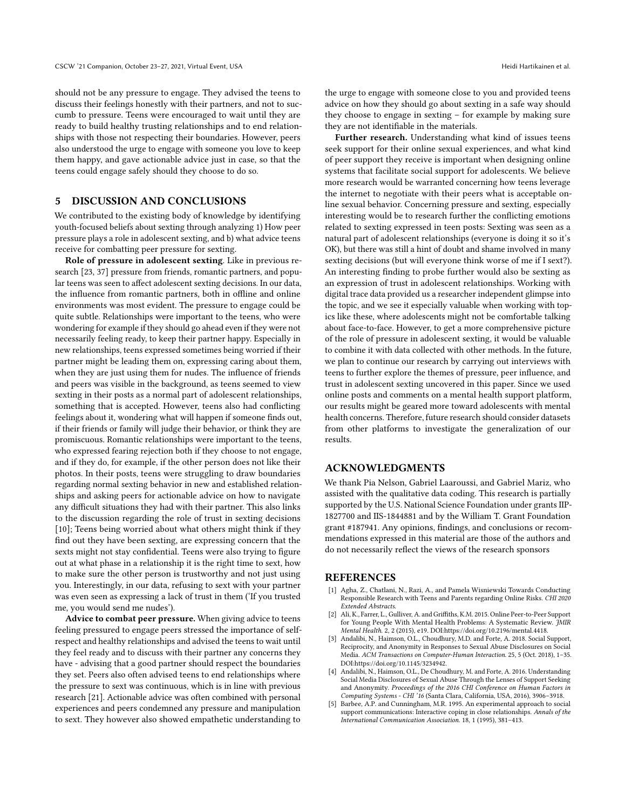should not be any pressure to engage. They advised the teens to discuss their feelings honestly with their partners, and not to succumb to pressure. Teens were encouraged to wait until they are ready to build healthy trusting relationships and to end relationships with those not respecting their boundaries. However, peers also understood the urge to engage with someone you love to keep them happy, and gave actionable advice just in case, so that the teens could engage safely should they choose to do so.

# 5 DISCUSSION AND CONCLUSIONS

We contributed to the existing body of knowledge by identifying youth-focused beliefs about sexting through analyzing 1) How peer pressure plays a role in adolescent sexting, and b) what advice teens receive for combatting peer pressure for sexting.

Role of pressure in adolescent sexting. Like in previous research [\[23,](#page-4-17) [37\]](#page-4-16) pressure from friends, romantic partners, and popular teens was seen to affect adolescent sexting decisions. In our data, the influence from romantic partners, both in offline and online environments was most evident. The pressure to engage could be quite subtle. Relationships were important to the teens, who were wondering for example if they should go ahead even if they were not necessarily feeling ready, to keep their partner happy. Especially in new relationships, teens expressed sometimes being worried if their partner might be leading them on, expressing caring about them, when they are just using them for nudes. The influence of friends and peers was visible in the background, as teens seemed to view sexting in their posts as a normal part of adolescent relationships, something that is accepted. However, teens also had conflicting feelings about it, wondering what will happen if someone finds out, if their friends or family will judge their behavior, or think they are promiscuous. Romantic relationships were important to the teens, who expressed fearing rejection both if they choose to not engage, and if they do, for example, if the other person does not like their photos. In their posts, teens were struggling to draw boundaries regarding normal sexting behavior in new and established relationships and asking peers for actionable advice on how to navigate any difficult situations they had with their partner. This also links to the discussion regarding the role of trust in sexting decisions [\[10\]](#page-4-18); Teens being worried about what others might think if they find out they have been sexting, are expressing concern that the sexts might not stay confidential. Teens were also trying to figure out at what phase in a relationship it is the right time to sext, how to make sure the other person is trustworthy and not just using you. Interestingly, in our data, refusing to sext with your partner was even seen as expressing a lack of trust in them ('If you trusted me, you would send me nudes').

Advice to combat peer pressure. When giving advice to teens feeling pressured to engage peers stressed the importance of selfrespect and healthy relationships and advised the teens to wait until they feel ready and to discuss with their partner any concerns they have - advising that a good partner should respect the boundaries they set. Peers also often advised teens to end relationships where the pressure to sext was continuous, which is in line with previous research [\[21\]](#page-4-32). Actionable advice was often combined with personal experiences and peers condemned any pressure and manipulation to sext. They however also showed empathetic understanding to

the urge to engage with someone close to you and provided teens advice on how they should go about sexting in a safe way should they choose to engage in sexting – for example by making sure they are not identifiable in the materials.

Further research. Understanding what kind of issues teens seek support for their online sexual experiences, and what kind of peer support they receive is important when designing online systems that facilitate social support for adolescents. We believe more research would be warranted concerning how teens leverage the internet to negotiate with their peers what is acceptable online sexual behavior. Concerning pressure and sexting, especially interesting would be to research further the conflicting emotions related to sexting expressed in teen posts: Sexting was seen as a natural part of adolescent relationships (everyone is doing it so it's OK), but there was still a hint of doubt and shame involved in many sexting decisions (but will everyone think worse of me if I sext?). An interesting finding to probe further would also be sexting as an expression of trust in adolescent relationships. Working with digital trace data provided us a researcher independent glimpse into the topic, and we see it especially valuable when working with topics like these, where adolescents might not be comfortable talking about face-to-face. However, to get a more comprehensive picture of the role of pressure in adolescent sexting, it would be valuable to combine it with data collected with other methods. In the future, we plan to continue our research by carrying out interviews with teens to further explore the themes of pressure, peer influence, and trust in adolescent sexting uncovered in this paper. Since we used online posts and comments on a mental health support platform, our results might be geared more toward adolescents with mental health concerns. Therefore, future research should consider datasets from other platforms to investigate the generalization of our results.

# ACKNOWLEDGMENTS

We thank Pia Nelson, Gabriel Laaroussi, and Gabriel Mariz, who assisted with the qualitative data coding. This research is partially supported by the U.S. National Science Foundation under grants IIP-1827700 and IIS-1844881 and by the William T. Grant Foundation grant #187941. Any opinions, findings, and conclusions or recommendations expressed in this material are those of the authors and do not necessarily reflect the views of the research sponsors

#### **REFERENCES**

- <span id="page-3-1"></span>[1] Agha, Z., Chatlani, N., Razi, A., and Pamela Wisniewski Towards Conducting Responsible Research with Teens and Parents regarding Online Risks. CHI 2020 Extended Abstracts.
- <span id="page-3-0"></span>[2] Ali, K., Farrer, L., Gulliver, A. and Griffiths, K.M. 2015. Online Peer-to-Peer Support for Young People With Mental Health Problems: A Systematic Review. JMIR Mental Health. 2, 2 (2015), e19. DOI[:https://doi.org/10.2196/mental.4418.](https://doi.org/10.2196/mental.4418)
- <span id="page-3-2"></span>[3] Andalibi, N., Haimson, O.L., Choudhury, M.D. and Forte, A. 2018. Social Support, Reciprocity, and Anonymity in Responses to Sexual Abuse Disclosures on Social Media. ACM Transactions on Computer-Human Interaction. 25, 5 (Oct. 2018), 1–35. DOI[:https://doi.org/10.1145/3234942.](https://doi.org/10.1145/3234942)
- <span id="page-3-3"></span>[4] Andalibi, N., Haimson, O.L., De Choudhury, M. and Forte, A. 2016. Understanding Social Media Disclosures of Sexual Abuse Through the Lenses of Support Seeking and Anonymity. Proceedings of the 2016 CHI Conference on Human Factors in Computing Systems - CHI '16 (Santa Clara, California, USA, 2016), 3906–3918.
- <span id="page-3-4"></span>[5] Barbee, A.P. and Cunningham, M.R. 1995. An experimental approach to social support communications: Interactive coping in close relationships. Annals of the International Communication Association. 18, 1 (1995), 381–413.